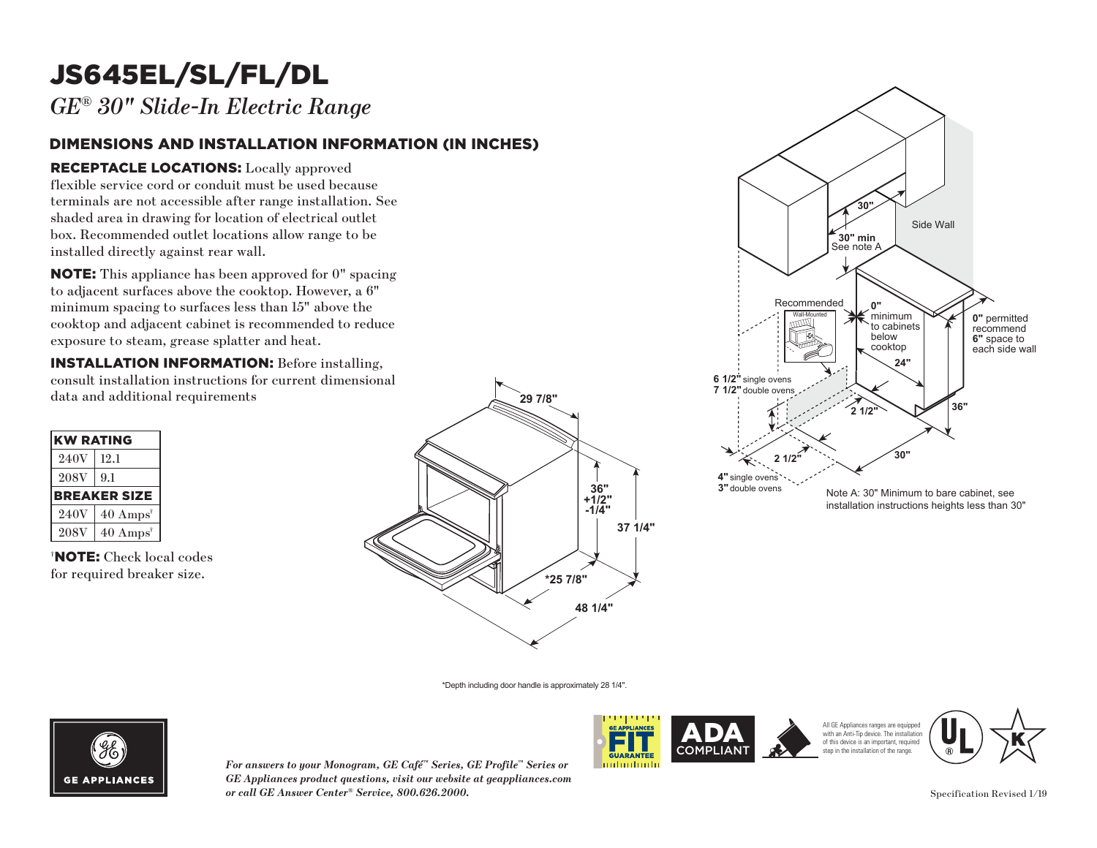## JS645EL/SL/FL/DL

*GE® 30" Slide-In Electric Range*

### DIMENSIONS AND INSTALLATION INFORMATION (IN INCHES)

### RECEPTACLE LOCATIONS: Locally approved

flexible service cord or conduit must be used because terminals are not accessible after range installation. See **30"** shaded area in drawing for location of electrical outlet box. Recommended outlet locations allow range to be installed directly against rear wall. must be used becauter range installation<br>tion of electrical out<br>tions allow range to<br>wall.<br>n approved for 0" sp<br>cooktop. However, a **30" min**

NOTE: This appliance has been approved for 0" spacing to adjacent surfaces above the cooktop. However, a 6"  $\min$  spacing to surfaces less than  $15"$  above the minimum spacing to sarraces ress than 15 associate exposure to steam, grease splatter and heat. ase sp Recommended

**INSTALLATION INFORMATION:** Before installing, consult installation instructions for current dimensional data and additional requirements

| <b>KW RATING</b> |                             |
|------------------|-----------------------------|
| 240V             | 12.1                        |
| <b>208V</b>      | 9.1                         |
|                  | <b>BREAKER SIZE</b>         |
| 240V             | $40 \text{ Amps}^{\dagger}$ |
| <b>208V</b>      | $40 \text{ Amps}^{\dagger}$ |

† NOTE: Check local codes for required breaker size.





\*Depth including door handle is approximately 28 1/4".



*For answers to your Monogram, GE Café™ Series, GE Profile™ Series or GE Appliances product questions, visit our website at geappliances.com or call GE Answer Center® Service, 800.626.2000.* Specification Revised 1/19